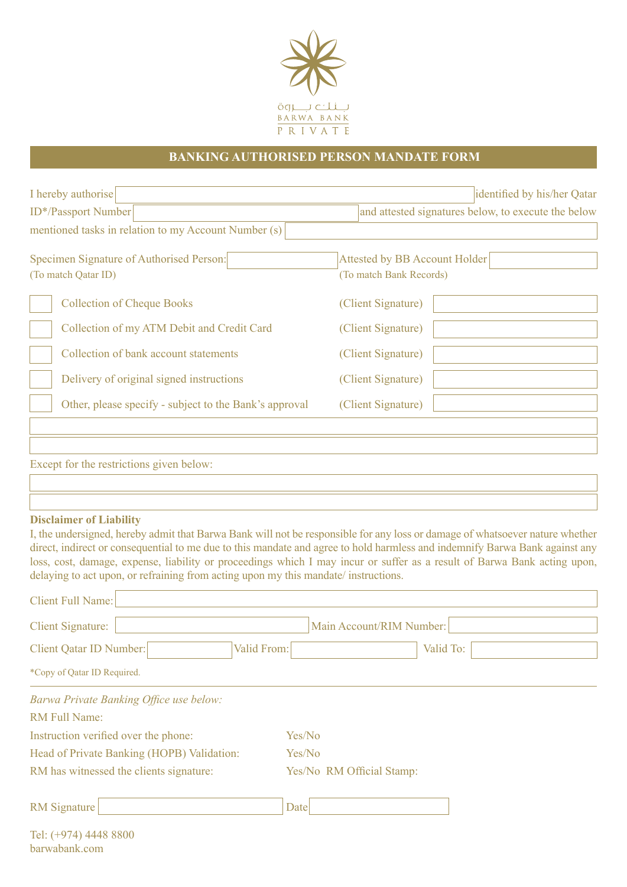

## **BANKING AUTHORISED PERSON MANDATE FORM**

| I hereby authorise                                                                                                                               |             | identified by his/her Qatar<br>and attested signatures below, to execute the below                                                                                                                                                                                                                                                                                                      |  |
|--------------------------------------------------------------------------------------------------------------------------------------------------|-------------|-----------------------------------------------------------------------------------------------------------------------------------------------------------------------------------------------------------------------------------------------------------------------------------------------------------------------------------------------------------------------------------------|--|
| ID*/Passport Number                                                                                                                              |             |                                                                                                                                                                                                                                                                                                                                                                                         |  |
| mentioned tasks in relation to my Account Number (s)                                                                                             |             |                                                                                                                                                                                                                                                                                                                                                                                         |  |
| Specimen Signature of Authorised Person:<br>(To match Qatar ID)                                                                                  |             | <b>Attested by BB Account Holder</b><br>(To match Bank Records)                                                                                                                                                                                                                                                                                                                         |  |
| <b>Collection of Cheque Books</b>                                                                                                                |             | (Client Signature)                                                                                                                                                                                                                                                                                                                                                                      |  |
| Collection of my ATM Debit and Credit Card                                                                                                       |             | (Client Signature)                                                                                                                                                                                                                                                                                                                                                                      |  |
| Collection of bank account statements                                                                                                            |             | (Client Signature)                                                                                                                                                                                                                                                                                                                                                                      |  |
| Delivery of original signed instructions                                                                                                         |             | (Client Signature)                                                                                                                                                                                                                                                                                                                                                                      |  |
| Other, please specify - subject to the Bank's approval                                                                                           |             | (Client Signature)                                                                                                                                                                                                                                                                                                                                                                      |  |
| <b>Disclaimer of Liability</b><br>delaying to act upon, or refraining from acting upon my this mandate/instructions.<br><b>Client Full Name:</b> |             | I, the undersigned, hereby admit that Barwa Bank will not be responsible for any loss or damage of whatsoever nature whether<br>direct, indirect or consequential to me due to this mandate and agree to hold harmless and indemnify Barwa Bank against any<br>loss, cost, damage, expense, liability or proceedings which I may incur or suffer as a result of Barwa Bank acting upon, |  |
| <b>Client Signature:</b>                                                                                                                         |             | Main Account/RIM Number:                                                                                                                                                                                                                                                                                                                                                                |  |
| Client Qatar ID Number:                                                                                                                          | Valid From: | Valid To:                                                                                                                                                                                                                                                                                                                                                                               |  |
| *Copy of Qatar ID Required.                                                                                                                      |             |                                                                                                                                                                                                                                                                                                                                                                                         |  |
| Barwa Private Banking Office use below:<br><b>RM Full Name:</b>                                                                                  |             |                                                                                                                                                                                                                                                                                                                                                                                         |  |
| Instruction verified over the phone:                                                                                                             | Yes/No      |                                                                                                                                                                                                                                                                                                                                                                                         |  |
| Head of Private Banking (HOPB) Validation:                                                                                                       | Yes/No      |                                                                                                                                                                                                                                                                                                                                                                                         |  |
| RM has witnessed the clients signature:                                                                                                          |             | Yes/No RM Official Stamp:                                                                                                                                                                                                                                                                                                                                                               |  |
| <b>RM</b> Signature                                                                                                                              | Date        |                                                                                                                                                                                                                                                                                                                                                                                         |  |

| Tel: (+974) 4448 8800 |  |
|-----------------------|--|
| barwabank.com         |  |